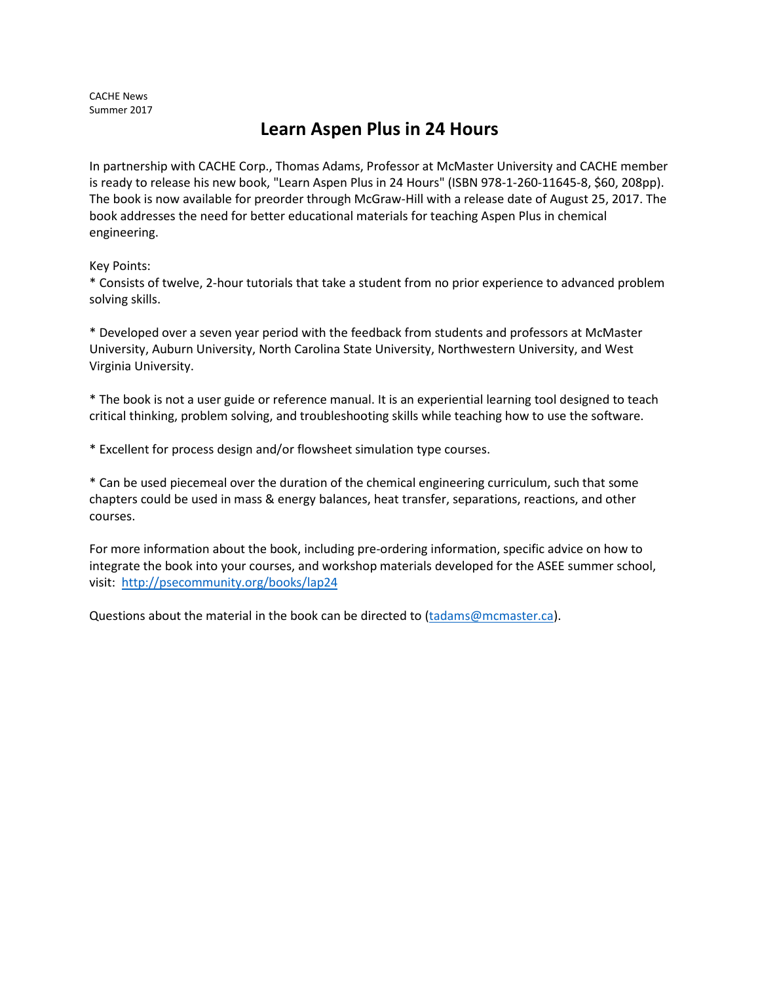CACHE News Summer 2017

## **Learn Aspen Plus in 24 Hours**

In partnership with CACHE Corp., Thomas Adams, Professor at McMaster University and CACHE member is ready to release his new book, "Learn Aspen Plus in 24 Hours" (ISBN 978-1-260-11645-8, \$60, 208pp). The book is now available for preorder through McGraw-Hill with a release date of August 25, 2017. The book addresses the need for better educational materials for teaching Aspen Plus in chemical engineering.

Key Points:

\* Consists of twelve, 2-hour tutorials that take a student from no prior experience to advanced problem solving skills.

\* Developed over a seven year period with the feedback from students and professors at McMaster University, Auburn University, North Carolina State University, Northwestern University, and West Virginia University.

\* The book is not a user guide or reference manual. It is an experiential learning tool designed to teach critical thinking, problem solving, and troubleshooting skills while teaching how to use the software.

\* Excellent for process design and/or flowsheet simulation type courses.

\* Can be used piecemeal over the duration of the chemical engineering curriculum, such that some chapters could be used in mass & energy balances, heat transfer, separations, reactions, and other courses.

For more information about the book, including pre-ordering information, specific advice on how to integrate the book into your courses, and workshop materials developed for the ASEE summer school, visit: <http://psecommunity.org/books/lap24>

Questions about the material in the book can be directed to [\(tadams@mcmaster.ca\)](mailto:tadams@mcmaster.ca).